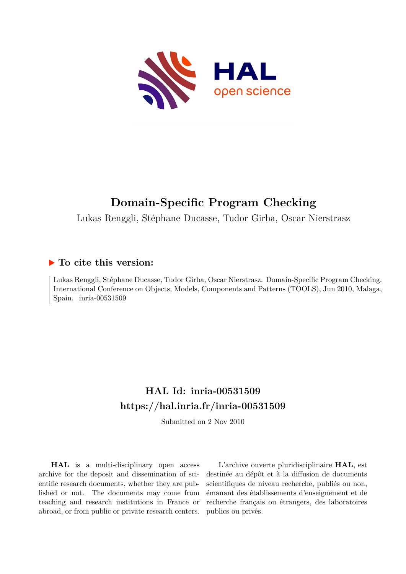

# **Domain-Specific Program Checking**

Lukas Renggli, Stéphane Ducasse, Tudor Girba, Oscar Nierstrasz

# **To cite this version:**

Lukas Renggli, Stéphane Ducasse, Tudor Girba, Oscar Nierstrasz. Domain-Specific Program Checking. International Conference on Objects, Models, Components and Patterns (TOOLS), Jun 2010, Malaga, Spain.  $inria-00531509$ 

# **HAL Id: inria-00531509 <https://hal.inria.fr/inria-00531509>**

Submitted on 2 Nov 2010

**HAL** is a multi-disciplinary open access archive for the deposit and dissemination of scientific research documents, whether they are published or not. The documents may come from teaching and research institutions in France or abroad, or from public or private research centers.

L'archive ouverte pluridisciplinaire **HAL**, est destinée au dépôt et à la diffusion de documents scientifiques de niveau recherche, publiés ou non, émanant des établissements d'enseignement et de recherche français ou étrangers, des laboratoires publics ou privés.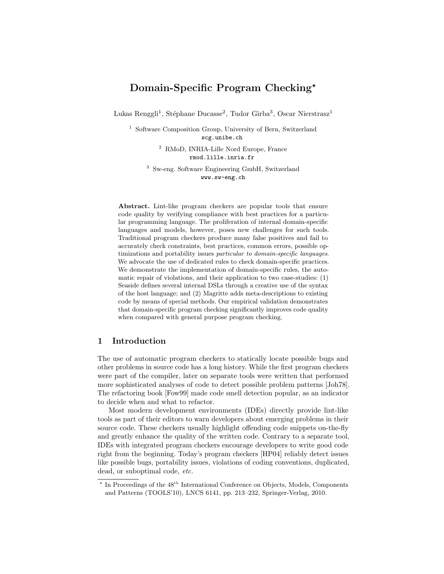# Domain-Specific Program Checking\*

Lukas Renggli<sup>1</sup>, Stéphane Ducasse<sup>2</sup>, Tudor Gîrba<sup>3</sup>, Oscar Nierstrasz<sup>1</sup>

<sup>1</sup> Software Composition Group, University of Bern, Switzerland [scg.unibe.ch](http://scg.unibe.ch/)

> <sup>2</sup> RMoD, INRIA-Lille Nord Europe, France [rmod.lille.inria.fr](http://rmod.lille.inria.fr)

<sup>3</sup> Sw-eng. Software Engineering GmbH, Switzerland [www.sw-eng.ch](http://www.sw-eng.ch)

Abstract. Lint-like program checkers are popular tools that ensure code quality by verifying compliance with best practices for a particular programming language. The proliferation of internal domain-specific languages and models, however, poses new challenges for such tools. Traditional program checkers produce many false positives and fail to accurately check constraints, best practices, common errors, possible optimizations and portability issues particular to domain-specific languages. We advocate the use of dedicated rules to check domain-specific practices. We demonstrate the implementation of domain-specific rules, the automatic repair of violations, and their application to two case-studies: (1) Seaside defines several internal DSLs through a creative use of the syntax of the host language; and (2) Magritte adds meta-descriptions to existing code by means of special methods. Our empirical validation demonstrates that domain-specific program checking significantly improves code quality when compared with general purpose program checking.

## 1 Introduction

The use of automatic program checkers to statically locate possible bugs and other problems in source code has a long history. While the first program checkers were part of the compiler, later on separate tools were written that performed more sophisticated analyses of code to detect possible problem patterns [Joh78]. The refactoring book [Fow99] made code smell detection popular, as an indicator to decide when and what to refactor.

Most modern development environments (IDEs) directly provide lint-like tools as part of their editors to warn developers about emerging problems in their source code. These checkers usually highlight offending code snippets on-the-fly and greatly enhance the quality of the written code. Contrary to a separate tool, IDEs with integrated program checkers encourage developers to write good code right from the beginning. Today's program checkers [HP04] reliably detect issues like possible bugs, portability issues, violations of coding conventions, duplicated, dead, or suboptimal code, etc.

<sup>\*</sup> In Proceedings of the 48<sup>th</sup> International Conference on Objects, Models, Components and Patterns (TOOLS'10), LNCS 6141, pp. 213–232, Springer-Verlag, 2010.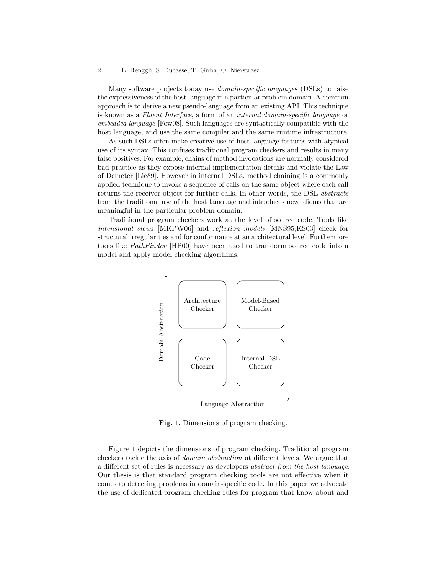#### 2 L. Renggli, S. Ducasse, T. Gîrba, O. Nierstrasz

Many software projects today use domain-specific languages (DSLs) to raise the expressiveness of the host language in a particular problem domain. A common approach is to derive a new pseudo-language from an existing API. This technique is known as a Fluent Interface, a form of an internal domain-specific language or embedded language [Fow08]. Such languages are syntactically compatible with the host language, and use the same compiler and the same runtime infrastructure.

As such DSLs often make creative use of host language features with atypical use of its syntax. This confuses traditional program checkers and results in many false positives. For example, chains of method invocations are normally considered bad practice as they expose internal implementation details and violate the Law of Demeter [Lie89]. However in internal DSLs, method chaining is a commonly applied technique to invoke a sequence of calls on the same object where each call returns the receiver object for further calls. In other words, the DSL abstracts from the traditional use of the host language and introduces new idioms that are meaningful in the particular problem domain.

Traditional program checkers work at the level of source code. Tools like intensional views [MKPW06] and reflexion models [MNS95,KS03] check for structural irregularities and for conformance at an architectural level. Furthermore tools like PathFinder [HP00] have been used to transform source code into a model and apply model checking algorithms.



Fig. 1. Dimensions of program checking.

Figure 1 depicts the dimensions of program checking. Traditional program checkers tackle the axis of domain abstraction at different levels. We argue that a different set of rules is necessary as developers abstract from the host language. Our thesis is that standard program checking tools are not effective when it comes to detecting problems in domain-specific code. In this paper we advocate the use of dedicated program checking rules for program that know about and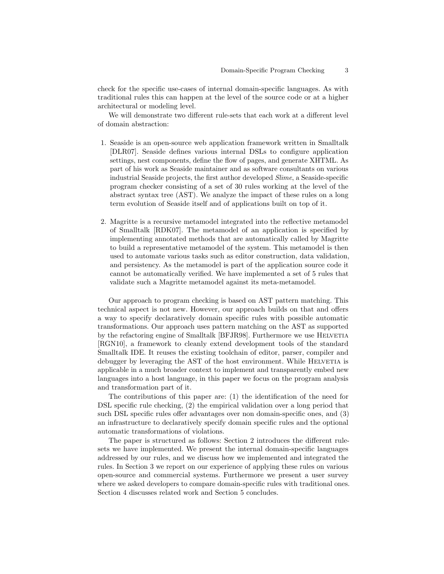check for the specific use-cases of internal domain-specific languages. As with traditional rules this can happen at the level of the source code or at a higher architectural or modeling level.

We will demonstrate two different rule-sets that each work at a different level of domain abstraction:

- 1. Seaside is an open-source web application framework written in Smalltalk [DLR07]. Seaside defines various internal DSLs to configure application settings, nest components, define the flow of pages, and generate XHTML. As part of his work as Seaside maintainer and as software consultants on various industrial Seaside projects, the first author developed Slime, a Seaside-specific program checker consisting of a set of 30 rules working at the level of the abstract syntax tree (AST). We analyze the impact of these rules on a long term evolution of Seaside itself and of applications built on top of it.
- 2. Magritte is a recursive metamodel integrated into the reflective metamodel of Smalltalk [RDK07]. The metamodel of an application is specified by implementing annotated methods that are automatically called by Magritte to build a representative metamodel of the system. This metamodel is then used to automate various tasks such as editor construction, data validation, and persistency. As the metamodel is part of the application source code it cannot be automatically verified. We have implemented a set of 5 rules that validate such a Magritte metamodel against its meta-metamodel.

Our approach to program checking is based on AST pattern matching. This technical aspect is not new. However, our approach builds on that and offers a way to specify declaratively domain specific rules with possible automatic transformations. Our approach uses pattern matching on the AST as supported by the refactoring engine of Smalltalk [BFJR98]. Furthermore we use HELVETIA [RGN10], a framework to cleanly extend development tools of the standard Smalltalk IDE. It reuses the existing toolchain of editor, parser, compiler and debugger by leveraging the AST of the host environment. While HELVETIA is applicable in a much broader context to implement and transparently embed new languages into a host language, in this paper we focus on the program analysis and transformation part of it.

The contributions of this paper are: (1) the identification of the need for DSL specific rule checking, (2) the empirical validation over a long period that such DSL specific rules offer advantages over non domain-specific ones, and (3) an infrastructure to declaratively specify domain specific rules and the optional automatic transformations of violations.

The paper is structured as follows: Section 2 introduces the different rulesets we have implemented. We present the internal domain-specific languages addressed by our rules, and we discuss how we implemented and integrated the rules. In Section 3 we report on our experience of applying these rules on various open-source and commercial systems. Furthermore we present a user survey where we asked developers to compare domain-specific rules with traditional ones. Section 4 discusses related work and Section 5 concludes.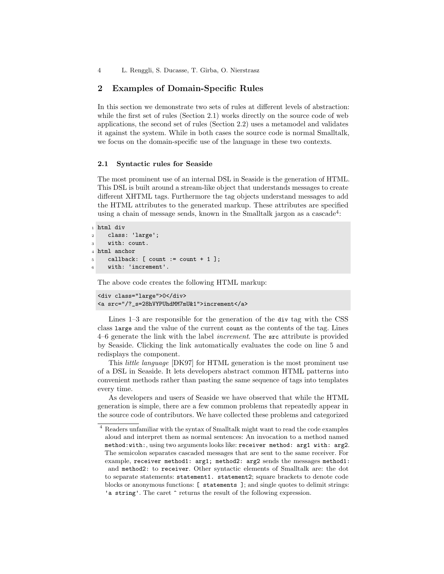4 L. Renggli, S. Ducasse, T. Gˆırba, O. Nierstrasz

### 2 Examples of Domain-Specific Rules

In this section we demonstrate two sets of rules at different levels of abstraction: while the first set of rules (Section 2.1) works directly on the source code of web applications, the second set of rules (Section 2.2) uses a metamodel and validates it against the system. While in both cases the source code is normal Smalltalk, we focus on the domain-specific use of the language in these two contexts.

#### 2.1 Syntactic rules for Seaside

The most prominent use of an internal DSL in Seaside is the generation of HTML. This DSL is built around a stream-like object that understands messages to create different XHTML tags. Furthermore the tag objects understand messages to add the HTML attributes to the generated markup. These attributes are specified using a chain of message sends, known in the Smalltalk jargon as a cascade<sup>4</sup>:

```
1 html div
2 class: 'large';
3 with: count.
4 html anchor
5 callback: [ count := count + 1 ];
6 with: 'increment'.
```
The above code creates the following HTML markup:

```
<div class="large">0</div>
<a src="/?_s=28hVYPUhdMM7mU&1">increment</a>
```
Lines 1–3 are responsible for the generation of the div tag with the CSS class large and the value of the current count as the contents of the tag. Lines 4–6 generate the link with the label increment. The src attribute is provided by Seaside. Clicking the link automatically evaluates the code on line 5 and redisplays the component.

This little language [DK97] for HTML generation is the most prominent use of a DSL in Seaside. It lets developers abstract common HTML patterns into convenient methods rather than pasting the same sequence of tags into templates every time.

As developers and users of Seaside we have observed that while the HTML generation is simple, there are a few common problems that repeatedly appear in the source code of contributors. We have collected these problems and categorized

<sup>4</sup> Readers unfamiliar with the syntax of Smalltalk might want to read the code examples aloud and interpret them as normal sentences: An invocation to a method named method:with:, using two arguments looks like: receiver method: arg1 with: arg2. The semicolon separates cascaded messages that are sent to the same receiver. For example, receiver method1: arg1; method2: arg2 sends the messages method1: and method2: to receiver. Other syntactic elements of Smalltalk are: the dot to separate statements: statement1. statement2; square brackets to denote code blocks or anonymous functions: [ statements ]; and single quotes to delimit strings: 'a string'. The caret  $\hat{ }$  returns the result of the following expression.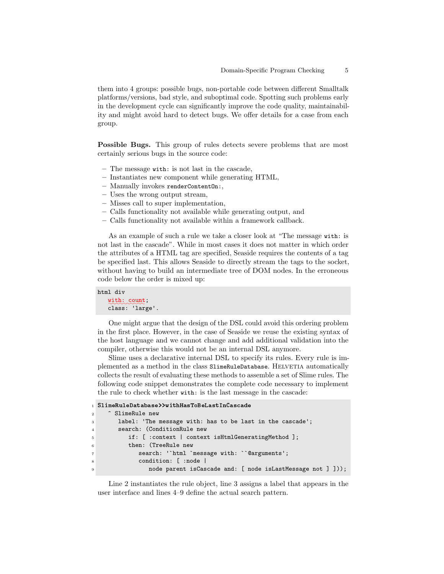them into 4 groups: possible bugs, non-portable code between different Smalltalk platforms/versions, bad style, and suboptimal code. Spotting such problems early in the development cycle can significantly improve the code quality, maintainability and might avoid hard to detect bugs. We offer details for a case from each group.

Possible Bugs. This group of rules detects severe problems that are most certainly serious bugs in the source code:

- The message with: is not last in the cascade,
- Instantiates new component while generating HTML,
- Manually invokes renderContentOn:,
- Uses the wrong output stream,
- Misses call to super implementation,
- Calls functionality not available while generating output, and
- Calls functionality not available within a framework callback.

As an example of such a rule we take a closer look at "The message with: is not last in the cascade". While in most cases it does not matter in which order the attributes of a HTML tag are specified, Seaside requires the contents of a tag be specified last. This allows Seaside to directly stream the tags to the socket, without having to build an intermediate tree of DOM nodes. In the erroneous code below the order is mixed up:

#### html div

with: count; class: 'large'.

One might argue that the design of the DSL could avoid this ordering problem in the first place. However, in the case of Seaside we reuse the existing syntax of the host language and we cannot change and add additional validation into the compiler, otherwise this would not be an internal DSL anymore.

Slime uses a declarative internal DSL to specify its rules. Every rule is implemented as a method in the class SlimeRuleDatabase. HELVETIA automatically collects the result of evaluating these methods to assemble a set of Slime rules. The following code snippet demonstrates the complete code necessary to implement the rule to check whether with: is the last message in the cascade:

```
1 SlimeRuleDatabase>>withHasToBeLastInCascade
2 ^ SlimeRule new
3 label: 'The message with: has to be last in the cascade';
4 search: (ConditionRule new
5 if: [ :context | context isHtmlGeneratingMethod ];
6 then: (TreeRule new
7 search: '`html `message with: ``@arguments';
8 condition: [ :node |
9 node parent isCascade and: [ node isLastMessage not ] ]));
```
Line 2 instantiates the rule object, line 3 assigns a label that appears in the user interface and lines 4–9 define the actual search pattern.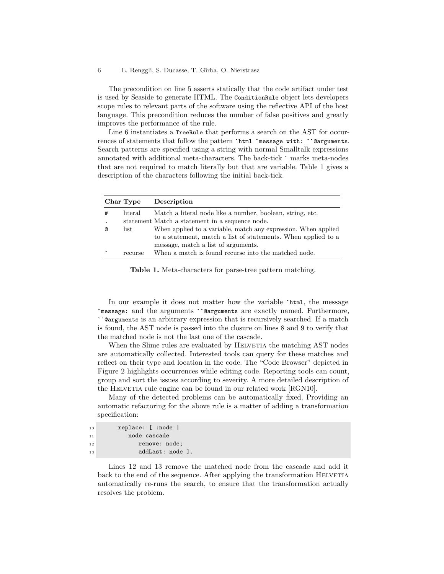The precondition on line 5 asserts statically that the code artifact under test is used by Seaside to generate HTML. The ConditionRule object lets developers scope rules to relevant parts of the software using the reflective API of the host language. This precondition reduces the number of false positives and greatly improves the performance of the rule.

Line 6 instantiates a TreeRule that performs a search on the AST for occurrences of statements that follow the pattern `html `message with: ``@arguments. Search patterns are specified using a string with normal Smalltalk expressions annotated with additional meta-characters. The back-tick ` marks meta-nodes that are not required to match literally but that are variable. Table 1 gives a description of the characters following the initial back-tick.

|           | Char Type | Description                                                    |
|-----------|-----------|----------------------------------------------------------------|
| #         | literal   | Match a literal node like a number, boolean, string, etc.      |
| $\bullet$ |           | statement Match a statement in a sequence node.                |
| Q         | list      | When applied to a variable, match any expression. When applied |
|           |           | to a statement, match a list of statements. When applied to a  |
|           |           | message, match a list of arguments.                            |
| $\ddot{}$ | recurse   | When a match is found recurse into the matched node.           |

Table 1. Meta-characters for parse-tree pattern matching.

In our example it does not matter how the variable 'html, the message `message: and the arguments ``@arguments are exactly named. Furthermore, ``@arguments is an arbitrary expression that is recursively searched. If a match is found, the AST node is passed into the closure on lines 8 and 9 to verify that the matched node is not the last one of the cascade.

When the Slime rules are evaluated by HELVETIA the matching AST nodes are automatically collected. Interested tools can query for these matches and reflect on their type and location in the code. The "Code Browser" depicted in Figure 2 highlights occurrences while editing code. Reporting tools can count, group and sort the issues according to severity. A more detailed description of the HELVETIA rule engine can be found in our related work [RGN10].

Many of the detected problems can be automatically fixed. Providing an automatic refactoring for the above rule is a matter of adding a transformation specification:

| 10 | replace: [ :node  |
|----|-------------------|
| 11 | node cascade      |
| 12 | remove: node;     |
| 13 | $addLast: node$ . |

Lines 12 and 13 remove the matched node from the cascade and add it back to the end of the sequence. After applying the transformation HELVETIA automatically re-runs the search, to ensure that the transformation actually resolves the problem.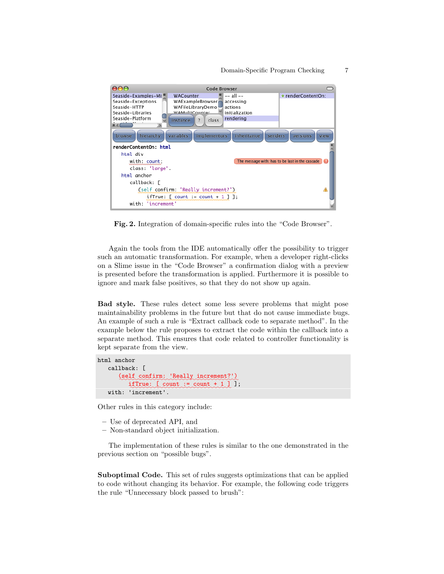

Fig. 2. Integration of domain-specific rules into the "Code Browser".

Again the tools from the IDE automatically offer the possibility to trigger such an automatic transformation. For example, when a developer right-clicks on a Slime issue in the "Code Browser" a confirmation dialog with a preview is presented before the transformation is applied. Furthermore it is possible to ignore and mark false positives, so that they do not show up again.

Bad style. These rules detect some less severe problems that might pose maintainability problems in the future but that do not cause immediate bugs. An example of such a rule is "Extract callback code to separate method". In the example below the rule proposes to extract the code within the callback into a separate method. This ensures that code related to controller functionality is kept separate from the view.

```
html anchor
    callback: [
        (self_confirm: 'Really_increment?')
            \text{ifTrue:} \left[\text{count} : \text{count} + 1 \right] ];
    with: 'increment'.
```
Other rules in this category include:

- Use of deprecated API, and
- Non-standard object initialization.

The implementation of these rules is similar to the one demonstrated in the previous section on "possible bugs".

Suboptimal Code. This set of rules suggests optimizations that can be applied to code without changing its behavior. For example, the following code triggers the rule "Unnecessary block passed to brush":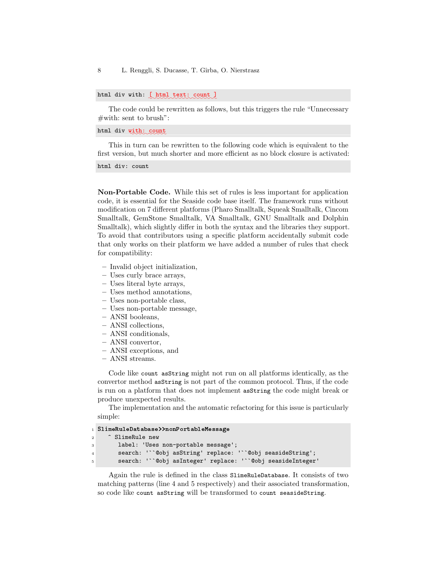8 L. Renggli, S. Ducasse, T. Gîrba, O. Nierstrasz

html div with: [ html text: count ]

The code could be rewritten as follows, but this triggers the rule "Unnecessary  $\#$ with: sent to brush":

html div with: count

This in turn can be rewritten to the following code which is equivalent to the first version, but much shorter and more efficient as no block closure is activated:

html div: count

Non-Portable Code. While this set of rules is less important for application code, it is essential for the Seaside code base itself. The framework runs without modification on 7 different platforms (Pharo Smalltalk, Squeak Smalltalk, Cincom Smalltalk, GemStone Smalltalk, VA Smalltalk, GNU Smalltalk and Dolphin Smalltalk), which slightly differ in both the syntax and the libraries they support. To avoid that contributors using a specific platform accidentally submit code that only works on their platform we have added a number of rules that check for compatibility:

- Invalid object initialization,
- Uses curly brace arrays,
- Uses literal byte arrays,
- Uses method annotations,
- Uses non-portable class,
- Uses non-portable message,
- ANSI booleans,
- ANSI collections,
- ANSI conditionals,
- ANSI convertor,
- ANSI exceptions, and
- ANSI streams.

Code like count asString might not run on all platforms identically, as the convertor method asString is not part of the common protocol. Thus, if the code is run on a platform that does not implement asString the code might break or produce unexpected results.

The implementation and the automatic refactoring for this issue is particularly simple:

```
1 SlimeRuleDatabase>>nonPortableMessage
2 <sup>2</sup> SlimeRule new
3 label: 'Uses non-portable message';
4 search: '``@obj asString' replace: '``@obj seasideString';
       5 search: '``@obj asInteger' replace: '``@obj seasideInteger'
```
Again the rule is defined in the class SlimeRuleDatabase. It consists of two matching patterns (line 4 and 5 respectively) and their associated transformation, so code like count asString will be transformed to count seasideString.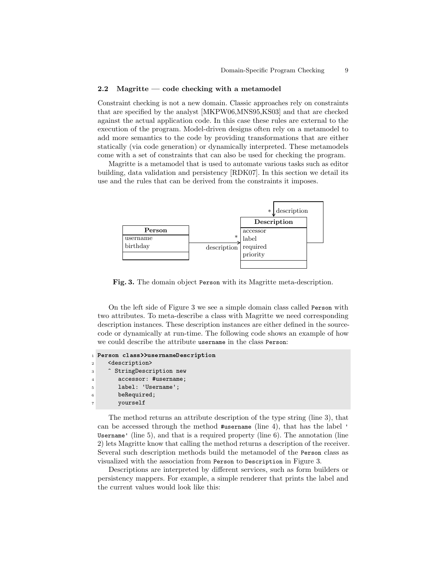#### 2.2 Magritte — code checking with a metamodel

Constraint checking is not a new domain. Classic approaches rely on constraints that are specified by the analyst [MKPW06,MNS95,KS03] and that are checked against the actual application code. In this case these rules are external to the execution of the program. Model-driven designs often rely on a metamodel to add more semantics to the code by providing transformations that are either statically (via code generation) or dynamically interpreted. These metamodels come with a set of constraints that can also be used for checking the program.

Magritte is a metamodel that is used to automate various tasks such as editor building, data validation and persistency [RDK07]. In this section we detail its use and the rules that can be derived from the constraints it imposes.



Fig. 3. The domain object Person with its Magritte meta-description.

On the left side of Figure 3 we see a simple domain class called Person with two attributes. To meta-describe a class with Magritte we need corresponding description instances. These description instances are either defined in the sourcecode or dynamically at run-time. The following code shows an example of how we could describe the attribute username in the class Person:

```
1 Person class>>usernameDescription
2 <description>
3 <sup>2</sup> StringDescription new
4 accessor: #username;
5 label: 'Username';
6 beRequired;
7 yourself
```
The method returns an attribute description of the type string (line 3), that can be accessed through the method #username (line 4), that has the label ' Username' (line 5), and that is a required property (line 6). The annotation (line 2) lets Magritte know that calling the method returns a description of the receiver. Several such description methods build the metamodel of the Person class as visualized with the association from Person to Description in Figure 3.

Descriptions are interpreted by different services, such as form builders or persistency mappers. For example, a simple renderer that prints the label and the current values would look like this: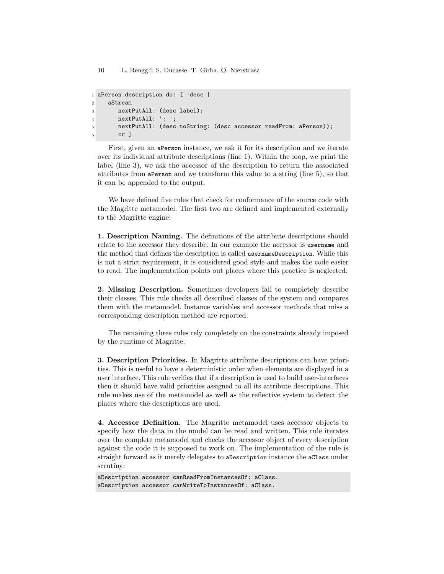10 L. Renggli, S. Ducasse, T. Gˆırba, O. Nierstrasz

```
1 aPerson description do: [ :desc |
2 aStream
3 nextPutAll: (desc label);
4 nextPutAll: ': ';
5 nextPutAll: (desc toString: (desc accessor readFrom: aPerson));
6 cr 1
```
First, given an aPerson instance, we ask it for its description and we iterate over its individual attribute descriptions (line 1). Within the loop, we print the label (line 3), we ask the accessor of the description to return the associated attributes from aPerson and we transform this value to a string (line 5), so that it can be appended to the output.

We have defined five rules that check for conformance of the source code with the Magritte metamodel. The first two are defined and implemented externally to the Magritte engine:

1. Description Naming. The definitions of the attribute descriptions should relate to the accessor they describe. In our example the accessor is username and the method that defines the description is called usernameDescription. While this is not a strict requirement, it is considered good style and makes the code easier to read. The implementation points out places where this practice is neglected.

2. Missing Description. Sometimes developers fail to completely describe their classes. This rule checks all described classes of the system and compares them with the metamodel. Instance variables and accessor methods that miss a corresponding description method are reported.

The remaining three rules rely completely on the constraints already imposed by the runtime of Magritte:

3. Description Priorities. In Magritte attribute descriptions can have priorities. This is useful to have a deterministic order when elements are displayed in a user interface. This rule verifies that if a description is used to build user-interfaces then it should have valid priorities assigned to all its attribute descriptions. This rule makes use of the metamodel as well as the reflective system to detect the places where the descriptions are used.

4. Accessor Definition. The Magritte metamodel uses accessor objects to specify how the data in the model can be read and written. This rule iterates over the complete metamodel and checks the accessor object of every description against the code it is supposed to work on. The implementation of the rule is straight forward as it merely delegates to aDescription instance the aClass under scrutiny:

aDescription accessor canReadFromInstancesOf: aClass. aDescription accessor canWriteToInstancesOf: aClass.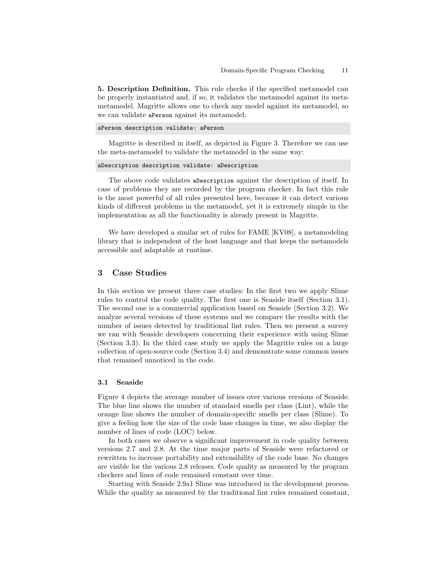5. Description Definition. This rule checks if the specified metamodel can be properly instantiated and, if so, it validates the metamodel against its metametamodel. Magritte allows one to check any model against its metamodel, so we can validate aPerson against its metamodel:

#### aPerson description validate: aPerson

Magritte is described in itself, as depicted in Figure 3. Therefore we can use the meta-metamodel to validate the metamodel in the same way:

```
aDescription description validate: aDescription
```
The above code validates aDescription against the description of itself. In case of problems they are recorded by the program checker. In fact this rule is the most powerful of all rules presented here, because it can detect various kinds of different problems in the metamodel, yet it is extremely simple in the implementation as all the functionality is already present in Magritte.

We have developed a similar set of rules for FAME [KV08], a metamodeling library that is independent of the host language and that keeps the metamodels accessible and adaptable at runtime.

### 3 Case Studies

In this section we present three case studies: In the first two we apply Slime rules to control the code quality. The first one is Seaside itself (Section 3.1). The second one is a commercial application based on Seaside (Section 3.2). We analyze several versions of these systems and we compare the results with the number of issues detected by traditional lint rules. Then we present a survey we ran with Seaside developers concerning their experience with using Slime (Section 3.3). In the third case study we apply the Magritte rules on a large collection of open-source code (Section 3.4) and demonstrate some common issues that remained unnoticed in the code.

#### 3.1 Seaside

Figure 4 depicts the average number of issues over various versions of Seaside. The blue line shows the number of standard smells per class (Lint), while the orange line shows the number of domain-specific smells per class (Slime). To give a feeling how the size of the code base changes in time, we also display the number of lines of code (LOC) below.

In both cases we observe a significant improvement in code quality between versions 2.7 and 2.8. At the time major parts of Seaside were refactored or rewritten to increase portability and extensibility of the code base. No changes are visible for the various 2.8 releases. Code quality as measured by the program checkers and lines of code remained constant over time.

Starting with Seaside 2.9a1 Slime was introduced in the development process. While the quality as measured by the traditional lint rules remained constant,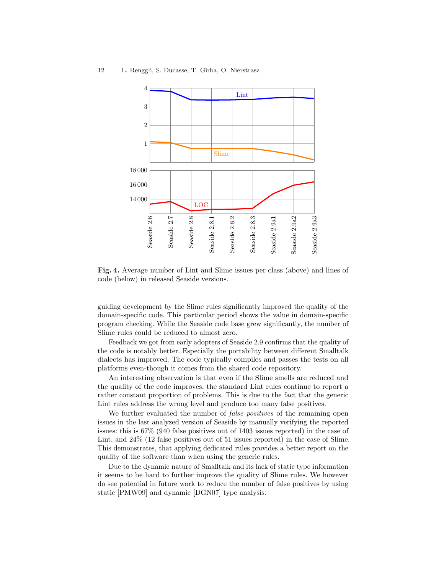

Fig. 4. Average number of Lint and Slime issues per class (above) and lines of code (below) in released Seaside versions.

guiding development by the Slime rules significantly improved the quality of the domain-specific code. This particular period shows the value in domain-specific program checking. While the Seaside code base grew significantly, the number of Slime rules could be reduced to almost zero.

Feedback we got from early adopters of Seaside 2.9 confirms that the quality of the code is notably better. Especially the portability between different Smalltalk dialects has improved. The code typically compiles and passes the tests on all platforms even-though it comes from the shared code repository.

An interesting observation is that even if the Slime smells are reduced and the quality of the code improves, the standard Lint rules continue to report a rather constant proportion of problems. This is due to the fact that the generic Lint rules address the wrong level and produce too many false positives.

We further evaluated the number of *false positives* of the remaining open issues in the last analyzed version of Seaside by manually verifying the reported issues: this is 67% (940 false positives out of 1403 issues reported) in the case of Lint, and 24% (12 false positives out of 51 issues reported) in the case of Slime. This demonstrates, that applying dedicated rules provides a better report on the quality of the software than when using the generic rules.

Due to the dynamic nature of Smalltalk and its lack of static type information it seems to be hard to further improve the quality of Slime rules. We however do see potential in future work to reduce the number of false positives by using static [PMW09] and dynamic [DGN07] type analysis.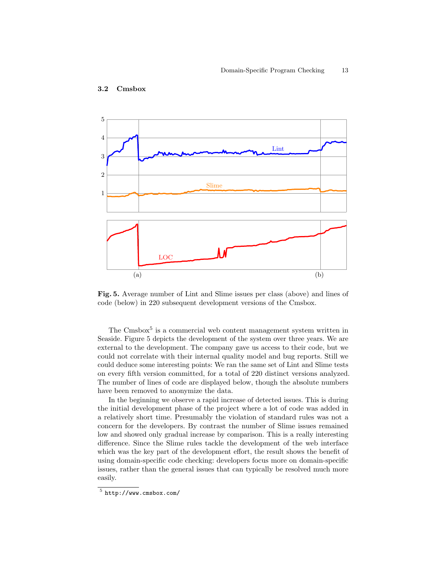

#### 3.2 Cmsbox

Fig. 5. Average number of Lint and Slime issues per class (above) and lines of code (below) in 220 subsequent development versions of the Cmsbox.

The Cmsbox<sup>5</sup> is a commercial web content management system written in Seaside. Figure 5 depicts the development of the system over three years. We are external to the development. The company gave us access to their code, but we could not correlate with their internal quality model and bug reports. Still we could deduce some interesting points: We ran the same set of Lint and Slime tests on every fifth version committed, for a total of 220 distinct versions analyzed. The number of lines of code are displayed below, though the absolute numbers have been removed to anonymize the data.

In the beginning we observe a rapid increase of detected issues. This is during the initial development phase of the project where a lot of code was added in a relatively short time. Presumably the violation of standard rules was not a concern for the developers. By contrast the number of Slime issues remained low and showed only gradual increase by comparison. This is a really interesting difference. Since the Slime rules tackle the development of the web interface which was the key part of the development effort, the result shows the benefit of using domain-specific code checking: developers focus more on domain-specific issues, rather than the general issues that can typically be resolved much more easily.

<sup>5</sup> <http://www.cmsbox.com/>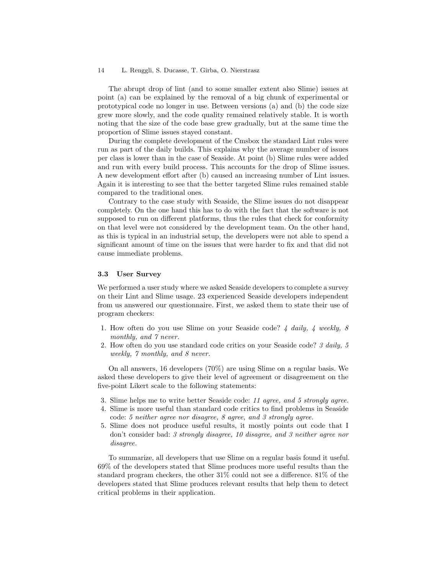#### 14 L. Renggli, S. Ducasse, T. Gˆırba, O. Nierstrasz

The abrupt drop of lint (and to some smaller extent also Slime) issues at point (a) can be explained by the removal of a big chunk of experimental or prototypical code no longer in use. Between versions (a) and (b) the code size grew more slowly, and the code quality remained relatively stable. It is worth noting that the size of the code base grew gradually, but at the same time the proportion of Slime issues stayed constant.

During the complete development of the Cmsbox the standard Lint rules were run as part of the daily builds. This explains why the average number of issues per class is lower than in the case of Seaside. At point (b) Slime rules were added and run with every build process. This accounts for the drop of Slime issues. A new development effort after (b) caused an increasing number of Lint issues. Again it is interesting to see that the better targeted Slime rules remained stable compared to the traditional ones.

Contrary to the case study with Seaside, the Slime issues do not disappear completely. On the one hand this has to do with the fact that the software is not supposed to run on different platforms, thus the rules that check for conformity on that level were not considered by the development team. On the other hand, as this is typical in an industrial setup, the developers were not able to spend a significant amount of time on the issues that were harder to fix and that did not cause immediate problems.

#### 3.3 User Survey

We performed a user study where we asked Seaside developers to complete a survey on their Lint and Slime usage. 23 experienced Seaside developers independent from us answered our questionnaire. First, we asked them to state their use of program checkers:

- 1. How often do you use Slime on your Seaside code? 4 daily, 4 weekly, 8 monthly, and  $\gamma$  never.
- 2. How often do you use standard code critics on your Seaside code? 3 daily, 5 weekly, 7 monthly, and 8 never.

On all answers, 16 developers (70%) are using Slime on a regular basis. We asked these developers to give their level of agreement or disagreement on the five-point Likert scale to the following statements:

- 3. Slime helps me to write better Seaside code: 11 agree, and 5 strongly agree.
- 4. Slime is more useful than standard code critics to find problems in Seaside code: 5 neither agree nor disagree, 8 agree, and 3 strongly agree.
- 5. Slime does not produce useful results, it mostly points out code that I don't consider bad: 3 strongly disagree, 10 disagree, and 3 neither agree nor disagree.

To summarize, all developers that use Slime on a regular basis found it useful. 69% of the developers stated that Slime produces more useful results than the standard program checkers, the other 31% could not see a difference. 81% of the developers stated that Slime produces relevant results that help them to detect critical problems in their application.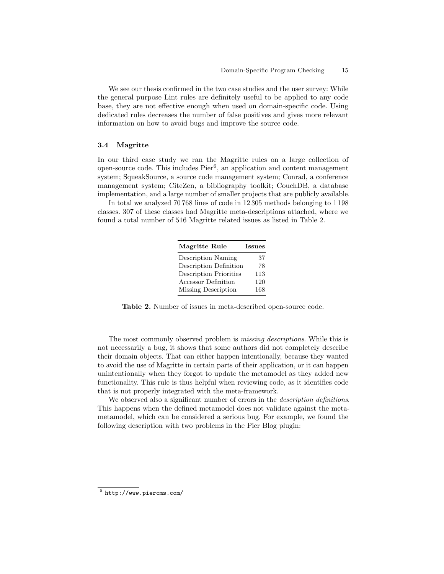We see our thesis confirmed in the two case studies and the user survey: While the general purpose Lint rules are definitely useful to be applied to any code base, they are not effective enough when used on domain-specific code. Using dedicated rules decreases the number of false positives and gives more relevant information on how to avoid bugs and improve the source code.

#### 3.4 Magritte

In our third case study we ran the Magritte rules on a large collection of open-source code. This includes  $Pier^6$ , an application and content management system; SqueakSource, a source code management system; Conrad, a conference management system; CiteZen, a bibliography toolkit; CouchDB, a database implementation, and a large number of smaller projects that are publicly available.

In total we analyzed 70 768 lines of code in 12 305 methods belonging to 1 198 classes. 307 of these classes had Magritte meta-descriptions attached, where we found a total number of 516 Magritte related issues as listed in Table 2.

| <b>Magritte Rule</b>          | <b>Issues</b> |
|-------------------------------|---------------|
| Description Naming            | 37            |
| Description Definition        | 78            |
| <b>Description Priorities</b> | 113           |
| Accessor Definition           | 120           |
| Missing Description           | 168           |

Table 2. Number of issues in meta-described open-source code.

The most commonly observed problem is missing descriptions. While this is not necessarily a bug, it shows that some authors did not completely describe their domain objects. That can either happen intentionally, because they wanted to avoid the use of Magritte in certain parts of their application, or it can happen unintentionally when they forgot to update the metamodel as they added new functionality. This rule is thus helpful when reviewing code, as it identifies code that is not properly integrated with the meta-framework.

We observed also a significant number of errors in the *description definitions*. This happens when the defined metamodel does not validate against the metametamodel, which can be considered a serious bug. For example, we found the following description with two problems in the Pier Blog plugin:

 $^6$  <http://www.piercms.com/>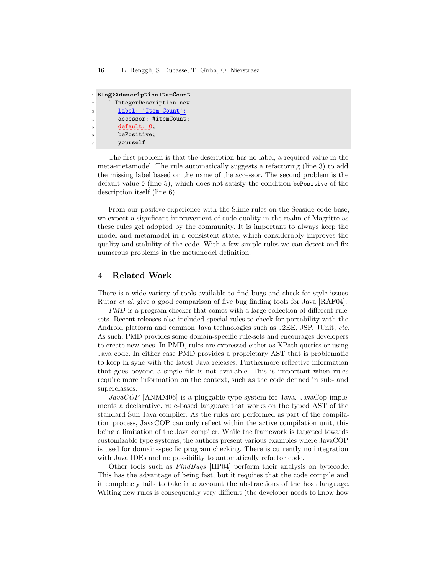```
1 Blog>>descriptionItemCount
2 ^ IntegerDescription new
3 label: 'Item Count';
4 accessor: #itemCount;
\qquad \qquad \mathbf{default:}\ \ \ \mathbf{0};6 bePositive;
7 yourself
```
The first problem is that the description has no label, a required value in the meta-metamodel. The rule automatically suggests a refactoring (line 3) to add the missing label based on the name of the accessor. The second problem is the default value 0 (line 5), which does not satisfy the condition bePositive of the description itself (line 6).

From our positive experience with the Slime rules on the Seaside code-base, we expect a significant improvement of code quality in the realm of Magritte as these rules get adopted by the community. It is important to always keep the model and metamodel in a consistent state, which considerably improves the quality and stability of the code. With a few simple rules we can detect and fix numerous problems in the metamodel definition.

# 4 Related Work

There is a wide variety of tools available to find bugs and check for style issues. Rutar et al. give a good comparison of five bug finding tools for Java [RAF04].

PMD is a program checker that comes with a large collection of different rulesets. Recent releases also included special rules to check for portability with the Android platform and common Java technologies such as J2EE, JSP, JUnit, etc. As such, PMD provides some domain-specific rule-sets and encourages developers to create new ones. In PMD, rules are expressed either as XPath queries or using Java code. In either case PMD provides a proprietary AST that is problematic to keep in sync with the latest Java releases. Furthermore reflective information that goes beyond a single file is not available. This is important when rules require more information on the context, such as the code defined in sub- and superclasses.

 $JavaCOP$  [ANMM06] is a pluggable type system for Java. JavaCop implements a declarative, rule-based language that works on the typed AST of the standard Sun Java compiler. As the rules are performed as part of the compilation process, JavaCOP can only reflect within the active compilation unit, this being a limitation of the Java compiler. While the framework is targeted towards customizable type systems, the authors present various examples where JavaCOP is used for domain-specific program checking. There is currently no integration with Java IDEs and no possibility to automatically refactor code.

Other tools such as FindBugs [HP04] perform their analysis on bytecode. This has the advantage of being fast, but it requires that the code compile and it completely fails to take into account the abstractions of the host language. Writing new rules is consequently very difficult (the developer needs to know how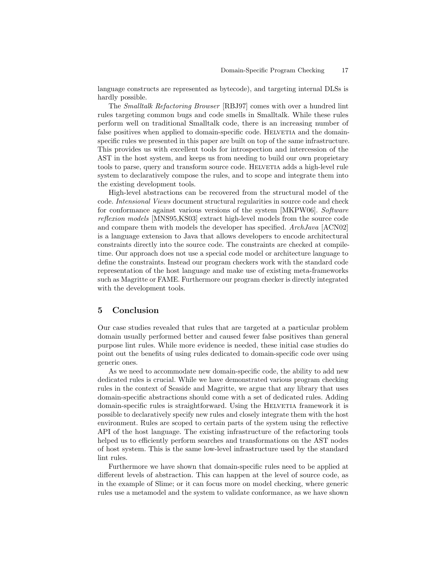language constructs are represented as bytecode), and targeting internal DLSs is hardly possible.

The Smalltalk Refactoring Browser [RBJ97] comes with over a hundred lint rules targeting common bugs and code smells in Smalltalk. While these rules perform well on traditional Smalltalk code, there is an increasing number of false positives when applied to domain-specific code. HELVETIA and the domainspecific rules we presented in this paper are built on top of the same infrastructure. This provides us with excellent tools for introspection and intercession of the AST in the host system, and keeps us from needing to build our own proprietary tools to parse, query and transform source code. HELVETIA adds a high-level rule system to declaratively compose the rules, and to scope and integrate them into the existing development tools.

High-level abstractions can be recovered from the structural model of the code. Intensional Views document structural regularities in source code and check for conformance against various versions of the system [MKPW06]. Software reflexion models [MNS95,KS03] extract high-level models from the source code and compare them with models the developer has specified. ArchJava [ACN02] is a language extension to Java that allows developers to encode architectural constraints directly into the source code. The constraints are checked at compiletime. Our approach does not use a special code model or architecture language to define the constraints. Instead our program checkers work with the standard code representation of the host language and make use of existing meta-frameworks such as Magritte or FAME. Furthermore our program checker is directly integrated with the development tools.

### 5 Conclusion

Our case studies revealed that rules that are targeted at a particular problem domain usually performed better and caused fewer false positives than general purpose lint rules. While more evidence is needed, these initial case studies do point out the benefits of using rules dedicated to domain-specific code over using generic ones.

As we need to accommodate new domain-specific code, the ability to add new dedicated rules is crucial. While we have demonstrated various program checking rules in the context of Seaside and Magritte, we argue that any library that uses domain-specific abstractions should come with a set of dedicated rules. Adding domain-specific rules is straightforward. Using the HELVETIA framework it is possible to declaratively specify new rules and closely integrate them with the host environment. Rules are scoped to certain parts of the system using the reflective API of the host language. The existing infrastructure of the refactoring tools helped us to efficiently perform searches and transformations on the AST nodes of host system. This is the same low-level infrastructure used by the standard lint rules.

Furthermore we have shown that domain-specific rules need to be applied at different levels of abstraction. This can happen at the level of source code, as in the example of Slime; or it can focus more on model checking, where generic rules use a metamodel and the system to validate conformance, as we have shown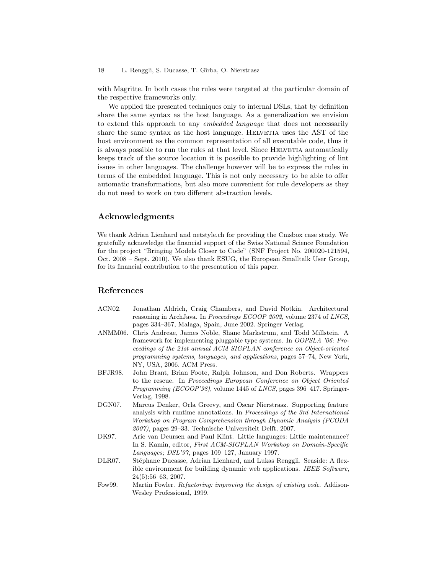with Magritte. In both cases the rules were targeted at the particular domain of the respective frameworks only.

We applied the presented techniques only to internal DSLs, that by definition share the same syntax as the host language. As a generalization we envision to extend this approach to any embedded language that does not necessarily share the same syntax as the host language. HELVETIA uses the AST of the host environment as the common representation of all executable code, thus it is always possible to run the rules at that level. Since HELVETIA automatically keeps track of the source location it is possible to provide highlighting of lint issues in other languages. The challenge however will be to express the rules in terms of the embedded language. This is not only necessary to be able to offer automatic transformations, but also more convenient for rule developers as they do not need to work on two different abstraction levels.

# Acknowledgments

We thank Adrian Lienhard and [netstyle.ch](http://www.netstyle.ch) for providing the [Cmsbox](http://www.cmsbox.com) case study. We gratefully acknowledge the financial support of the Swiss National Science Foundation for the project "Bringing Models Closer to Code" (SNF Project No. 200020-121594, Oct. 2008 – Sept. 2010). We also thank [ESUG,](http://www.esug.org) the European Smalltalk User Group, for its financial contribution to the presentation of this paper.

### References

- ACN02. Jonathan Aldrich, Craig Chambers, and David Notkin. Architectural reasoning in ArchJava. In Proceedings ECOOP 2002, volume 2374 of LNCS, pages 334–367, Malaga, Spain, June 2002. Springer Verlag.
- ANMM06. Chris Andreae, James Noble, Shane Markstrum, and Todd Millstein. A framework for implementing pluggable type systems. In OOPSLA '06: Proceedings of the 21st annual ACM SIGPLAN conference on Object-oriented programming systems, languages, and applications, pages 57–74, New York, NY, USA, 2006. ACM Press.
- BFJR98. John Brant, Brian Foote, Ralph Johnson, and Don Roberts. Wrappers to the rescue. In Proceedings European Conference on Object Oriented Programming (ECOOP'98), volume 1445 of LNCS, pages 396–417. Springer-Verlag, 1998.
- DGN07. Marcus Denker, Orla Greevy, and Oscar Nierstrasz. Supporting feature analysis with runtime annotations. In Proceedings of the 3rd International Workshop on Program Comprehension through Dynamic Analysis (PCODA 2007), pages 29–33. Technische Universiteit Delft, 2007.
- DK97. Arie van Deursen and Paul Klint. Little languages: Little maintenance? In S. Kamin, editor, First ACM-SIGPLAN Workshop on Domain-Specific Languages; DSL'97, pages 109–127, January 1997.
- DLR07. Stéphane Ducasse, Adrian Lienhard, and Lukas Renggli. Seaside: A flexible environment for building dynamic web applications. IEEE Software, 24(5):56–63, 2007.
- Fow99. Martin Fowler. Refactoring: improving the design of existing code. Addison-Wesley Professional, 1999.